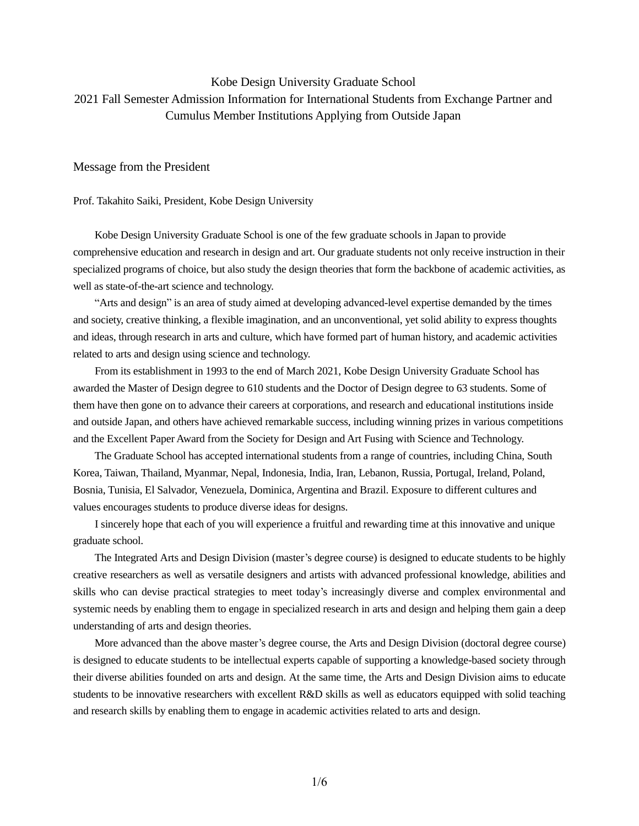# Kobe Design University Graduate School 2021 Fall Semester Admission Information for International Students from Exchange Partner and Cumulus Member Institutions Applying from Outside Japan

Message from the President

Prof. Takahito Saiki, President, Kobe Design University

Kobe Design University Graduate School is one of the few graduate schools in Japan to provide comprehensive education and research in design and art. Our graduate students not only receive instruction in their specialized programs of choice, but also study the design theories that form the backbone of academic activities, as well as state-of-the-art science and technology.

 "Arts and design" is an area of study aimed at developing advanced-level expertise demanded by the times and society, creative thinking, a flexible imagination, and an unconventional, yet solid ability to express thoughts and ideas, through research in arts and culture, which have formed part of human history, and academic activities related to arts and design using science and technology.

 From its establishment in 1993 to the end of March 2021, Kobe Design University Graduate School has awarded the Master of Design degree to 610 students and the Doctor of Design degree to 63 students. Some of them have then gone on to advance their careers at corporations, and research and educational institutions inside and outside Japan, and others have achieved remarkable success, including winning prizes in various competitions and the Excellent Paper Award from the Society for Design and Art Fusing with Science and Technology.

 The Graduate School has accepted international students from a range of countries, including China, South Korea, Taiwan, Thailand, Myanmar, Nepal, Indonesia, India, Iran, Lebanon, Russia, Portugal, Ireland, Poland, Bosnia, Tunisia, El Salvador, Venezuela, Dominica, Argentina and Brazil. Exposure to different cultures and values encourages students to produce diverse ideas for designs.

 I sincerely hope that each of you will experience a fruitful and rewarding time at this innovative and unique graduate school.

 The Integrated Arts and Design Division (master's degree course) is designed to educate students to be highly creative researchers as well as versatile designers and artists with advanced professional knowledge, abilities and skills who can devise practical strategies to meet today's increasingly diverse and complex environmental and systemic needs by enabling them to engage in specialized research in arts and design and helping them gain a deep understanding of arts and design theories.

 More advanced than the above master's degree course, the Arts and Design Division (doctoral degree course) is designed to educate students to be intellectual experts capable of supporting a knowledge-based society through their diverse abilities founded on arts and design. At the same time, the Arts and Design Division aims to educate students to be innovative researchers with excellent R&D skills as well as educators equipped with solid teaching and research skills by enabling them to engage in academic activities related to arts and design.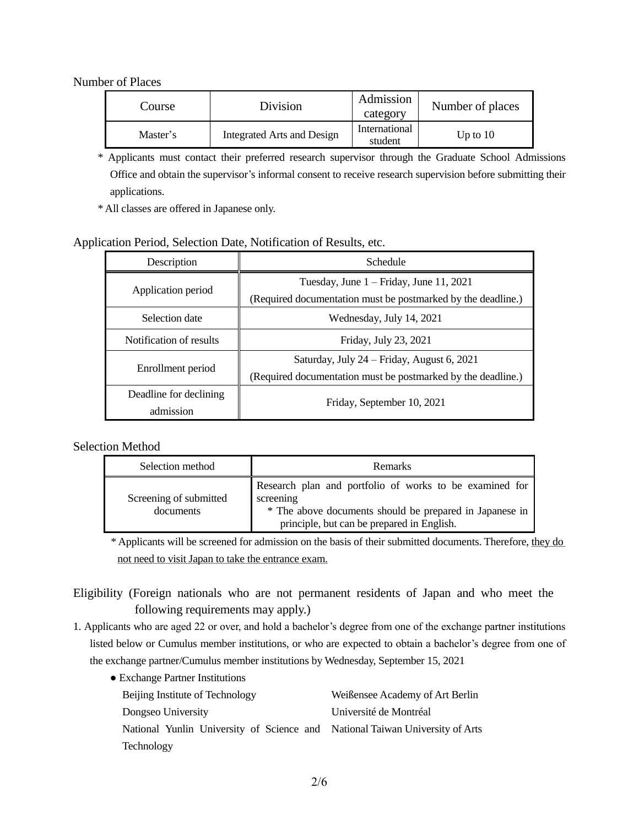# Number of Places

| Course   | Division                   | Admission<br>category    | Number of places |
|----------|----------------------------|--------------------------|------------------|
| Master's | Integrated Arts and Design | International<br>student | Up to $10$       |

\* Applicants must contact their preferred research supervisor through the Graduate School Admissions Office and obtain the supervisor's informal consent to receive research supervision before submitting their applications.

\* All classes are offered in Japanese only.

# Application Period, Selection Date, Notification of Results, etc.

| Description                         | Schedule                                                                                                   |  |  |
|-------------------------------------|------------------------------------------------------------------------------------------------------------|--|--|
| Application period                  | Tuesday, June $1 -$ Friday, June 11, 2021<br>(Required documentation must be postmarked by the deadline.)  |  |  |
| Selection date                      | Wednesday, July 14, 2021                                                                                   |  |  |
| Notification of results             | Friday, July 23, 2021                                                                                      |  |  |
| Enrollment period                   | Saturday, July 24 – Friday, August 6, 2021<br>(Required documentation must be postmarked by the deadline.) |  |  |
| Deadline for declining<br>admission | Friday, September 10, 2021                                                                                 |  |  |

# Selection Method

| Selection method                    | <b>Remarks</b>                                                                                                                                                                |  |  |
|-------------------------------------|-------------------------------------------------------------------------------------------------------------------------------------------------------------------------------|--|--|
| Screening of submitted<br>documents | Research plan and portfolio of works to be examined for<br>screening<br>* The above documents should be prepared in Japanese in<br>principle, but can be prepared in English. |  |  |

 \* Applicants will be screened for admission on the basis of their submitted documents. Therefore, they do not need to visit Japan to take the entrance exam.

Eligibility (Foreign nationals who are not permanent residents of Japan and who meet the following requirements may apply.)

- 1. Applicants who are aged 22 or over, and hold a bachelor's degree from one of the exchange partner institutions listed below or Cumulus member institutions, or who are expected to obtain a bachelor's degree from one of the exchange partner/Cumulus member institutions by Wednesday, September 15, 2021
	- Exchange Partner Institutions

| Beijing Institute of Technology                                              | Weißensee Academy of Art Berlin |  |  |  |
|------------------------------------------------------------------------------|---------------------------------|--|--|--|
| Dongseo University                                                           | Université de Montréal          |  |  |  |
| National Yunlin University of Science and National Taiwan University of Arts |                                 |  |  |  |
| <b>Technology</b>                                                            |                                 |  |  |  |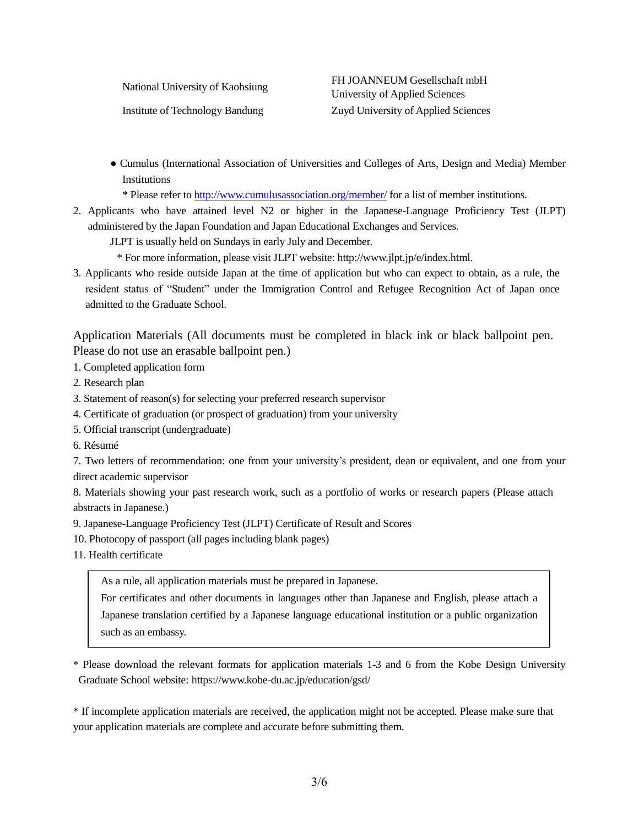National University of Kaohsiung FH JOANNEUM Gesellschaft mbH University of Applied Sciences Institute of Technology Bandung Zuyd University of Applied Sciences

● Cumulus (International Association of Universities and Colleges of Arts, Design and Media) Member Institutions

\* Please refer to<http://www.cumulusassociation.org/member/> for a list of member institutions.

2. Applicants who have attained level N2 or higher in the Japanese-Language Proficiency Test (JLPT) administered by the Japan Foundation and Japan Educational Exchanges and Services.

JLPT is usually held on Sundays in early July and December.

\* For more information, please visit JLPT website: http://www.jlpt.jp/e/index.html.

3. Applicants who reside outside Japan at the time of application but who can expect to obtain, as a rule, the resident status of "Student" under the Immigration Control and Refugee Recognition Act of Japan once admitted to the Graduate School.

Application Materials (All documents must be completed in black ink or black ballpoint pen. Please do not use an erasable ballpoint pen.)

1. Completed application form

- 2. Research plan
- 3. Statement of reason(s) for selecting your preferred research supervisor
- 4. Certificate of graduation (or prospect of graduation) from your university
- 5. Official transcript (undergraduate)
- 6. Résumé

7. Two letters of recommendation: one from your university's president, dean or equivalent, and one from your direct academic supervisor

8. Materials showing your past research work, such as a portfolio of works or research papers (Please attach abstracts in Japanese.)

- 9. Japanese-Language Proficiency Test (JLPT) Certificate of Result and Scores
- 10. Photocopy of passport (all pages including blank pages)
- 11. Health certificate

As a rule, all application materials must be prepared in Japanese.

For certificates and other documents in languages other than Japanese and English, please attach a Japanese translation certified by a Japanese language educational institution or a public organization such as an embassy.

\* Please download the relevant formats for application materials 1-3 and 6 from the Kobe Design University Graduate School website: https://www.kobe-du.ac.jp/education/gsd/

\* If incomplete application materials are received, the application might not be accepted. Please make sure that your application materials are complete and accurate before submitting them.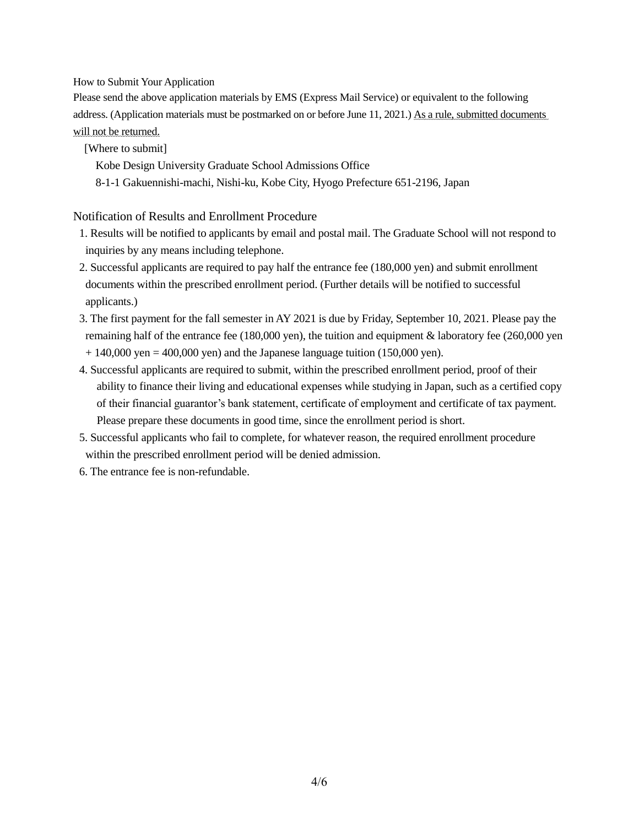How to Submit Your Application

Please send the above application materials by EMS (Express Mail Service) or equivalent to the following address. (Application materials must be postmarked on or before June 11, 2021.) As a rule, submitted documents will not be returned.

[Where to submit]

Kobe Design University Graduate School Admissions Office

8-1-1 Gakuennishi-machi, Nishi-ku, Kobe City, Hyogo Prefecture 651-2196, Japan

Notification of Results and Enrollment Procedure

- 1. Results will be notified to applicants by email and postal mail. The Graduate School will not respond to inquiries by any means including telephone.
- 2. Successful applicants are required to pay half the entrance fee (180,000 yen) and submit enrollment documents within the prescribed enrollment period. (Further details will be notified to successful applicants.)
- 3. The first payment for the fall semester in AY 2021 is due by Friday, September 10, 2021. Please pay the remaining half of the entrance fee (180,000 yen), the tuition and equipment  $&$  laboratory fee (260,000 yen  $+ 140,000$  yen = 400,000 yen) and the Japanese language tuition (150,000 yen).
- 4. Successful applicants are required to submit, within the prescribed enrollment period, proof of their ability to finance their living and educational expenses while studying in Japan, such as a certified copy of their financial guarantor's bank statement, certificate of employment and certificate of tax payment. Please prepare these documents in good time, since the enrollment period is short.
- 5. Successful applicants who fail to complete, for whatever reason, the required enrollment procedure within the prescribed enrollment period will be denied admission.
- 6. The entrance fee is non-refundable.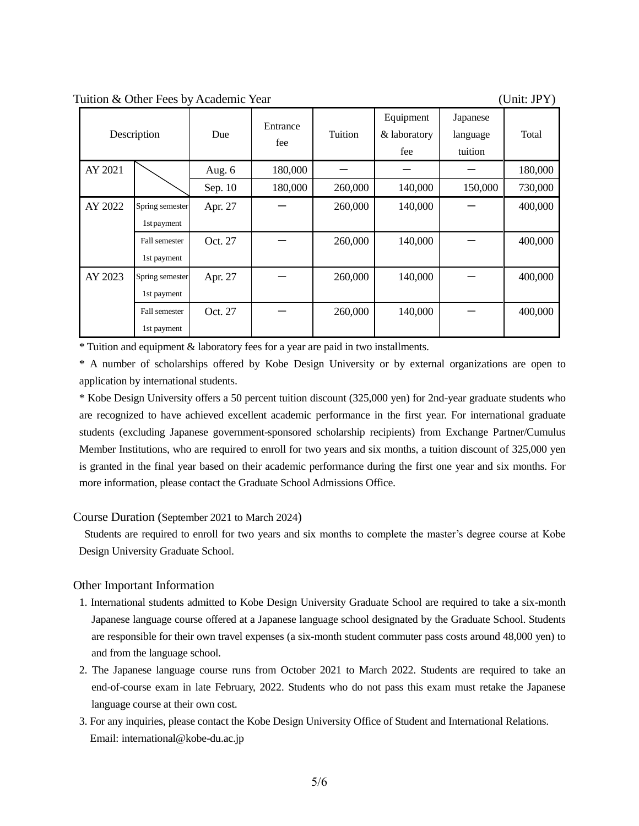Tuition & Other Fees by Academic Year (Unit: JPY)

|         | Description     | Due     | Entrance<br>fee | Tuition | Equipment<br>& laboratory<br>fee | Japanese<br>language<br>tuition | Total   |
|---------|-----------------|---------|-----------------|---------|----------------------------------|---------------------------------|---------|
| AY 2021 |                 | Aug. 6  | 180,000         |         |                                  |                                 | 180,000 |
|         |                 | Sep. 10 | 180,000         | 260,000 | 140,000                          | 150,000                         | 730,000 |
| AY 2022 | Spring semester | Apr. 27 |                 | 260,000 | 140,000                          |                                 | 400,000 |
|         | 1st payment     |         |                 |         |                                  |                                 |         |
|         | Fall semester   | Oct. 27 |                 | 260,000 | 140,000                          |                                 | 400,000 |
|         | 1st payment     |         |                 |         |                                  |                                 |         |
| AY 2023 | Spring semester | Apr. 27 |                 | 260,000 | 140,000                          |                                 | 400,000 |
|         | 1st payment     |         |                 |         |                                  |                                 |         |
|         | Fall semester   | Oct. 27 |                 | 260,000 | 140,000                          |                                 | 400,000 |
|         | 1st payment     |         |                 |         |                                  |                                 |         |

\* Tuition and equipment & laboratory fees for a year are paid in two installments.

\* A number of scholarships offered by Kobe Design University or by external organizations are open to application by international students.

\* Kobe Design University offers a 50 percent tuition discount (325,000 yen) for 2nd-year graduate students who are recognized to have achieved excellent academic performance in the first year. For international graduate students (excluding Japanese government-sponsored scholarship recipients) from Exchange Partner/Cumulus Member Institutions, who are required to enroll for two years and six months, a tuition discount of 325,000 yen is granted in the final year based on their academic performance during the first one year and six months. For more information, please contact the Graduate School Admissions Office.

## Course Duration (September 2021 to March 2024)

Students are required to enroll for two years and six months to complete the master's degree course at Kobe Design University Graduate School.

# Other Important Information

- 1. International students admitted to Kobe Design University Graduate School are required to take a six-month Japanese language course offered at a Japanese language school designated by the Graduate School. Students are responsible for their own travel expenses (a six-month student commuter pass costs around 48,000 yen) to and from the language school.
- 2. The Japanese language course runs from October 2021 to March 2022. Students are required to take an end-of-course exam in late February, 2022. Students who do not pass this exam must retake the Japanese language course at their own cost.
- 3. For any inquiries, please contact the Kobe Design University Office of Student and International Relations. Email: international@kobe-du.ac.jp